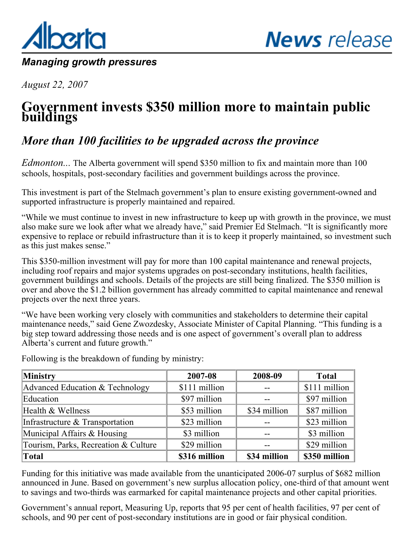<span id="page-0-0"></span>

## *Managing growth pressures*

*August 22, 2007*

## **Government invests \$350 million more to maintain public buildings**

## *More than 100 facilities to be upgraded across the province*

*Edmonton...* The Alberta government will spend \$350 million to fix and maintain more than 100 schools, hospitals, post-secondary facilities and government buildings across the province.

This investment is part of the Stelmach government's plan to ensure existing government-owned and supported infrastructure is properly maintained and repaired.

"While we must continue to invest in new infrastructure to keep up with growth in the province, we must also make sure we look after what we already have," said Premier Ed Stelmach. "It is significantly more expensive to replace or rebuild infrastructure than it is to keep it properly maintained, so investment such as this just makes sense."

This \$350-million investment will pay for more than 100 capital maintenance and renewal projects, including roof repairs and major systems upgrades on post-secondary institutions, health facilities, government buildings and schools. Details of the projects are still being finalized. The \$350 million is over and above the \$1.2 billion government has already committed to capital maintenance and renewal projects over the next three years.

"We have been working very closely with communities and stakeholders to determine their capital maintenance needs," said Gene Zwozdesky, Associate Minister of Capital Planning. "This funding is a big step toward addressing those needs and is one aspect of government's overall plan to address Alberta's current and future growth."

| <b>Ministry</b>                      | 2007-08       | 2008-09      | <b>Total</b>  |
|--------------------------------------|---------------|--------------|---------------|
| Advanced Education & Technology      | \$111 million |              | \$111 million |
| Education                            | \$97 million  |              | \$97 million  |
| Health & Wellness                    | \$53 million  | \$34 million | \$87 million  |
| Infrastructure & Transportation      | \$23 million  |              | \$23 million  |
| Municipal Affairs & Housing          | \$3 million   |              | \$3 million   |
| Tourism, Parks, Recreation & Culture | \$29 million  |              | \$29 million  |
| Total                                | \$316 million | \$34 million | \$350 million |

Following is the breakdown of funding by ministry:

Funding for this initiative was made available from the unanticipated 2006-07 surplus of \$682 million announced in June. Based on government's new surplus allocation policy, one-third of that amount went to savings and two-thirds was earmarked for capital maintenance projects and other capital priorities.

Government's annual report, Measuring Up, reports that 95 per cent of health facilities, 97 per cent of schools, and 90 per cent of post-secondary institutions are in good or fair physical condition.